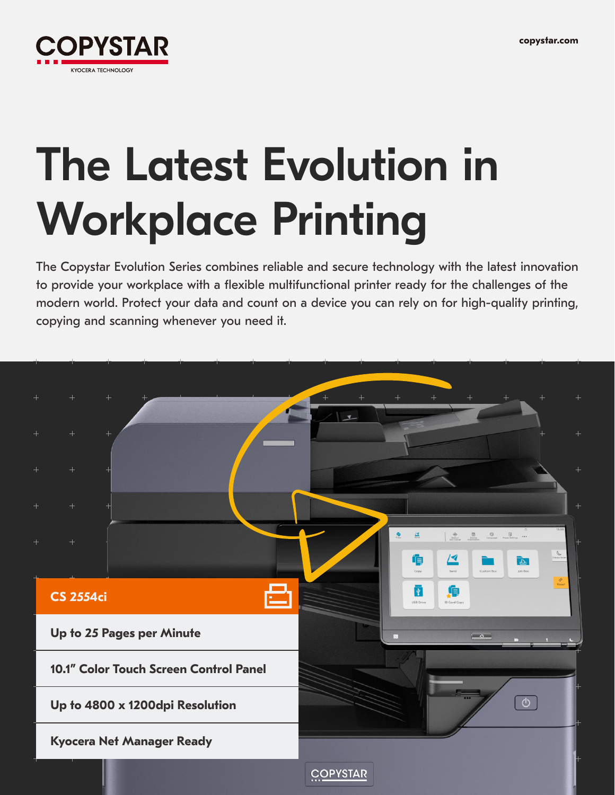

# The Latest Evolution in Workplace Printing

The Copystar Evolution Series combines reliable and secure technology with the latest innovation to provide your workplace with a flexible multifunctional printer ready for the challenges of the modern world. Protect your data and count on a device you can rely on for high-quality printing, copying and scanning whenever you need it.

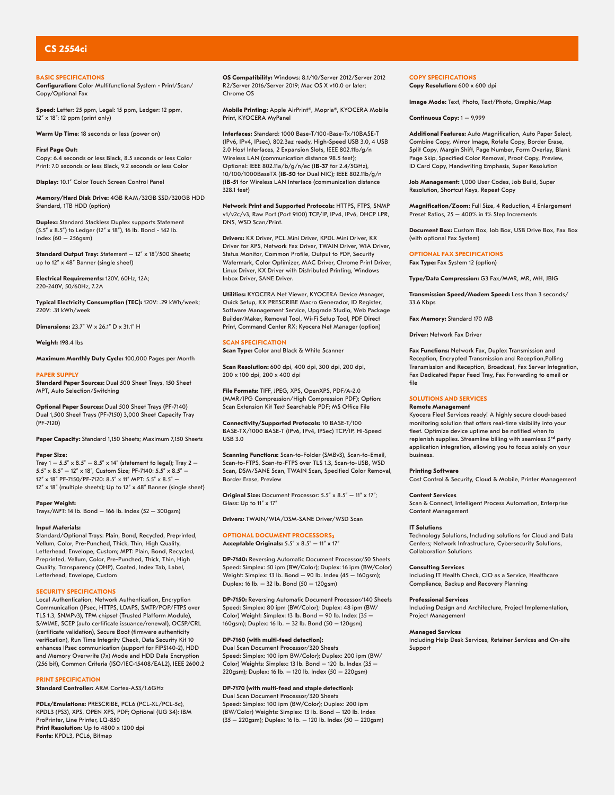# **CS 2554ci**

## **BASIC SPECIFICATIONS**

**Configuration:** Color Multifunctional System - Print/Scan/ Copy/Optional Fax

**Speed:** Letter: 25 ppm, Legal: 15 ppm, Ledger: 12 ppm, 12" x 18": 12 ppm (print only)

**Warm Up Time**: 18 seconds or less (power on)

**First Page Out:** Copy: 6.4 seconds or less Black, 8.5 seconds or less Color Print: 7.0 seconds or less Black, 9.2 seconds or less Color

**Display:** 10.1" Color Touch Screen Control Panel

**Memory/Hard Disk Drive:** 4GB RAM/32GB SSD/320GB HDD Standard, 1TB HDD (option)

**Duplex:** Standard Stackless Duplex supports Statement (5.5" x 8.5") to Ledger (12" x 18"), 16 lb. Bond - 142 lb. Index (60 – 256gsm)

**Standard Output Tray:** Statement – 12" x 18"/500 Sheets; up to 12" x 48" Banner (single sheet)

**Electrical Requirements:** 120V, 60Hz, 12A; 220-240V, 50/60Hz, 7.2A

**Typical Electricity Consumption (TEC):** 120V: .29 kWh/week; 220V: .31 kWh/week

**Dimensions:** 23.7" W x 26.1" D x 31.1" H

**Weight:** 198.4 lbs

**Maximum Monthly Duty Cycle:** 100,000 Pages per Month

### **PAPER SUPPLY**

**Standard Paper Sources:** Dual 500 Sheet Trays, 150 Sheet MPT, Auto Selection/Switching

**Optional Paper Sources:** Dual 500 Sheet Trays (PF-7140) Dual 1,500 Sheet Trays (PF-7150) 3,000 Sheet Capacity Tray (PF-7120)

**Paper Capacity:** Standard 1,150 Sheets; Maximum 7,150 Sheets

# **Paper Size:**

Tray  $1 - 5.5" \times 8.5" - 8.5" \times 14"$  (statement to legal); Tray 2 – 5.5" x 8.5" – 12" x 18", Custom Size; PF-7140: 5.5" x 8.5" – 12" x 18" PF-7150/PF-7120: 8.5" x 11" MPT: 5.5" x 8.5" – 12" x 18" (multiple sheets); Up to 12" x 48" Banner (single sheet)

### **Paper Weight:**

Trays/MPT: 14 lb. Bond – 166 lb. Index (52 – 300gsm)

# **Input Materials:**

Standard/Optional Trays: Plain, Bond, Recycled, Preprinted, Vellum, Color, Pre-Punched, Thick, Thin, High Quality, Letterhead, Envelope, Custom; MPT: Plain, Bond, Recycled, Preprinted, Vellum, Color, Pre-Punched, Thick, Thin, High Quality, Transparency (OHP), Coated, Index Tab, Label, Letterhead, Envelope, Custom

# **SECURITY SPECIFICATIONS**

Local Authentication, Network Authentication, Encryption Communication (IPsec, HTTPS, LDAPS, SMTP/POP/FTPS over TLS 1.3, SNMPv3), TPM chipset (Trusted Platform Module), S/MIME, SCEP (auto certificate issuance/renewal), OCSP/CRL (certificate validation), Secure Boot (firmware authenticity verification), Run Time Integrity Check, Data Security Kit 10 enhances IPsec communication (support for FIPS140-2), HDD and Memory Overwrite (7x) Mode and HDD Data Encryption (256 bit), Common Criteria (ISO/IEC-15408/EAL2), IEEE 2600.2

# **PRINT SPECIFICATION**

**Standard Controller:** ARM Cortex-A53/1.6GHz

**PDLs/Emulations:** PRESCRIBE, PCL6 (PCL-XL/PCL-5c), KPDL3 (PS3), XPS, OPEN XPS, PDF; Optional (UG 34): IBM ProPrinter, Line Printer, LQ-850 **Print Resolution:** Up to 4800 x 1200 dpi **Fonts:** KPDL3, PCL6, Bitmap

**OS Compatibility:** Windows: 8.1/10/Server 2012/Server 2012 R2/Server 2016/Server 2019; Mac OS X v10.0 or later; Chrome OS

**Mobile Printing:** Apple AirPrint®, Mopria®, KYOCERA Mobile Print, KYOCERA MyPanel

**Interfaces:** Standard: 1000 Base-T/100-Base-Tx/10BASE-T (IPv6, IPv4, IPsec), 802.3az ready, High-Speed USB 3.0, 4 USB 2.0 Host Interfaces, 2 Expansion Slots, IEEE 802.11b/g/n Wireless LAN (communication distance 98.5 feet); Optional: IEEE 802.11a/b/g/n/ac (**IB-37** for 2.4/5GHz), 10/100/1000BaseTX (**IB-50** for Dual NIC); IEEE 802.11b/g/n (**IB-51** for Wireless LAN Interface (communication distance 328.1 feet)

**Network Print and Supported Protocols:** HTTPS, FTPS, SNMP v1/v2c/v3, Raw Port (Port 9100) TCP/IP, IPv4, IPv6, DHCP LPR, DNS, WSD Scan/Print.

**Drivers:** KX Driver, PCL Mini Driver, KPDL Mini Driver, KX Driver for XPS, Network Fax Driver, TWAIN Driver, WIA Driver, Status Monitor, Common Profile, Output to PDF, Security Watermark, Color Optimizer, MAC Driver, Chrome Print Driver, Linux Driver, KX Driver with Distributed Printing, Windows Inbox Driver, SANE Driver.

**Utilities:** KYOCERA Net Viewer, KYOCERA Device Manager, Quick Setup, KX PRESCRIBE Macro Generador, ID Register, Software Management Service, Upgrade Studio, Web Package Builder/Maker, Removal Tool, Wi-Fi Setup Tool, PDF Direct Print, Command Center RX; Kyocera Net Manager (option)

# **SCAN SPECIFICATION**

**Scan Type:** Color and Black & White Scanner

**Scan Resolution:** 600 dpi, 400 dpi, 300 dpi, 200 dpi, 200 x 100 dpi, 200 x 400 dpi

**File Formats:** TIFF, JPEG, XPS, OpenXPS, PDF/A-2.0 (MMR/JPG Compression/High Compression PDF); Option: Scan Extension Kit Text Searchable PDF; MS Office File

**Connectivity/Supported Protocols:** 10 BASE-T/100 BASE-TX/1000 BASE-T (IPv6, IPv4, IPSec) TCP/IP, Hi-Speed USB 3.0

**Scanning Functions:** Scan-to-Folder (SMBv3), Scan-to-Email, Scan-to-FTPS, Scan-to-FTPS over TLS 1.3, Scan-to-USB, WSD Scan, DSM/SANE Scan, TWAIN Scan, Specified Color Removal, Border Erase, Preview

**Original Size:** Document Processor: 5.5" x 8.5" – 11" x 17"; Glass: Up to 11" x 17"

**Drivers:** TWAIN/WIA/DSM-SANE Driver/WSD Scan

# **OPTIONAL DOCUMENT PROCESSORS**

**Acceptable Originals:** 5.5" x 8.5" – 11" x 17"

**DP-7140:** Reversing Automatic Document Processor/50 Sheets Speed: Simplex: 50 ipm (BW/Color); Duplex: 16 ipm (BW/Color) Weight: Simplex: 13 lb. Bond – 90 lb. Index (45 – 160gsm); Duplex: 16 lb. – 32 lb. Bond (50 – 120gsm)

**DP-7150:** Reversing Automatic Document Processor/140 Sheets Speed: Simplex: 80 ipm (BW/Color); Duplex: 48 ipm (BW/ Color) Weight: Simplex: 13 lb. Bond – 90 lb. Index (35 – 160gsm); Duplex: 16 lb. – 32 lb. Bond (50 – 120gsm)

# **DP-7160 (with multi-feed detection):**

Dual Scan Document Processor/320 Sheets Speed: Simplex: 100 ipm BW/Color); Duplex: 200 ipm (BW/ Color) Weights: Simplex: 13 lb. Bond – 120 lb. Index (35 –  $220$ gsm); Duplex: 16 lb. – 120 lb. Index (50 – 220gsm)

# **DP-7170 (with multi-feed and staple detection):**

Dual Scan Document Processor/320 Sheets Speed: Simplex: 100 ipm (BW/Color); Duplex: 200 ipm (BW/Color) Weights: Simplex: 13 lb. Bond – 120 lb. Index (35 – 220gsm); Duplex: 16 lb. – 120 lb. Index (50 – 220gsm) **COPY SPECIFICATIONS Copy Resolution:** 600 x 600 dpi

**Image Mode:** Text, Photo, Text/Photo, Graphic/Map

**Continuous Copy:** 1 – 9,999

**Additional Features:** Auto Magnification, Auto Paper Select, Combine Copy, Mirror Image, Rotate Copy, Border Erase, Split Copy, Margin Shift, Page Number, Form Overlay, Blank Page Skip, Specified Color Removal, Proof Copy, Preview, ID Card Copy, Handwriting Emphasis, Super Resolution

**Job Management:** 1,000 User Codes, Job Build, Super Resolution, Shortcut Keys, Repeat Copy

**Magnification/Zoom:** Full Size, 4 Reduction, 4 Enlargement Preset Ratios, 25 – 400% in 1% Step Increments

**Document Box:** Custom Box, Job Box, USB Drive Box, Fax Box (with optional Fax System)

### **OPTIONAL FAX SPECIFICATIONS** Fax Type: Fax System 12 (option)

**Type/Data Compression:** G3 Fax/MMR, MR, MH, JBIG

**Transmission Speed/Modem Speed:** Less than 3 seconds/ 33.6 Kbps

**Fax Memory:** Standard 170 MB

**Driver:** Network Fax Driver

**Fax Functions:** Network Fax, Duplex Transmission and Reception, Encrypted Transmission and Reception,Polling Transmission and Reception, Broadcast, Fax Server Integration, Fax Dedicated Paper Feed Tray, Fax Forwarding to email or file

### **SOLUTIONS AND SERVICES Remote Management**

Kyocera Fleet Services ready! A highly secure cloud-based monitoring solution that offers real-time visibility into your fleet. Optimize device uptime and be notified when to replenish supplies. Streamline billing with seamless 3rd party application integration, allowing you to focus solely on your business.

### **Printing Software**

Cost Control & Security, Cloud & Mobile, Printer Management

Scan & Connect, Intelligent Process Automation, Enterprise

# Content Management

**Content Services**

**IT Solutions**

Technology Solutions, Including solutions for Cloud and Data Centers; Network Infrastructure, Cybersecurity Solutions, Collaboration Solutions

### **Consulting Services**

Including IT Health Check, CIO as a Service, Healthcare Compliance, Backup and Recovery Planning

### **Professional Services**

Including Design and Architecture, Project Implementation, Project Management

### **Managed Services**

Including Help Desk Services, Retainer Services and On-site Support